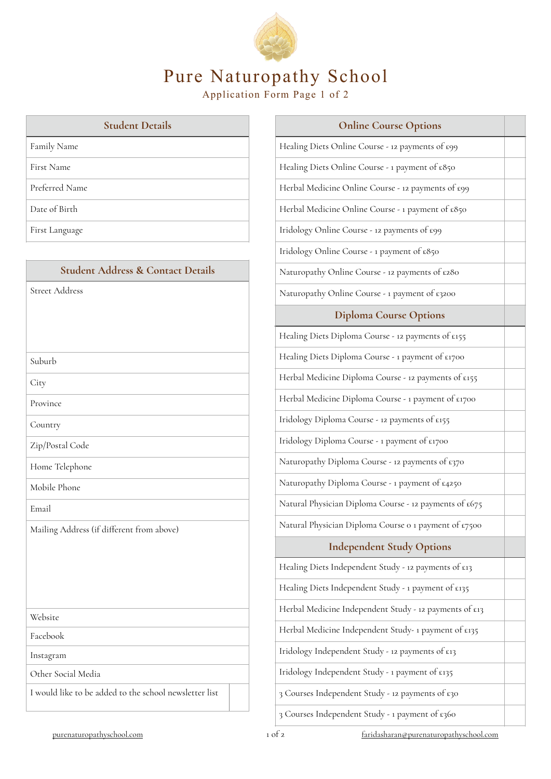

# Pure Naturopathy School

Application Form Page 1 of 2

| <b>Student Details</b> |
|------------------------|
| Family Name            |
| <b>First Name</b>      |
| Preferred Name         |
| Date of Birth          |
| First Language         |

| <b>Student Address &amp; Contact Details</b>           |
|--------------------------------------------------------|
| <b>Street Address</b>                                  |
|                                                        |
|                                                        |
| Suburb                                                 |
| City                                                   |
| Province                                               |
| Country                                                |
| Zip/Postal Code                                        |
| Home Telephone                                         |
| Mobile Phone                                           |
| Email                                                  |
| Mailing Address (if different from above)              |
|                                                        |
|                                                        |
|                                                        |
| Website                                                |
| Facebook                                               |
| Instagram                                              |
| Other Social Media                                     |
| I would like to be added to the school newsletter list |

| <b>Online Course Options</b>                           |  |
|--------------------------------------------------------|--|
| Healing Diets Online Course - 12 payments of £99       |  |
| Healing Diets Online Course - 1 payment of £850        |  |
| Herbal Medicine Online Course - 12 payments of £99     |  |
| Herbal Medicine Online Course - 1 payment of £850      |  |
| Iridology Online Course - 12 payments of £99           |  |
| Iridology Online Course - 1 payment of £850            |  |
| Naturopathy Online Course - 12 payments of £280        |  |
| Naturopathy Online Course - 1 payment of £3200         |  |
| <b>Diploma Course Options</b>                          |  |
| Healing Diets Diploma Course - 12 payments of £155     |  |
| Healing Diets Diploma Course - 1 payment of £1700      |  |
| Herbal Medicine Diploma Course - 12 payments of £155   |  |
| Herbal Medicine Diploma Course - 1 payment of £1700    |  |
| Iridology Diploma Course - 12 payments of £155         |  |
| Iridology Diploma Course - 1 payment of £1700          |  |
| Naturopathy Diploma Course - 12 payments of £370       |  |
| Naturopathy Diploma Course - 1 payment of £4250        |  |
| Natural Physician Diploma Course - 12 payments of £675 |  |
| Natural Physician Diploma Course o 1 payment of £7500  |  |
| <b>Independent Study Options</b>                       |  |
| Healing Diets Independent Study - 12 payments of £13   |  |
| Healing Diets Independent Study - 1 payment of £135    |  |
| Herbal Medicine Independent Study - 12 payments of £13 |  |
| Herbal Medicine Independent Study- 1 payment of £135   |  |
| Iridology Independent Study - 12 payments of £13       |  |
| Iridology Independent Study - 1 payment of £135        |  |
|                                                        |  |

3 Courses Independent Study - 12 payments of £30

3 Courses Independent Study - 1 payment of £360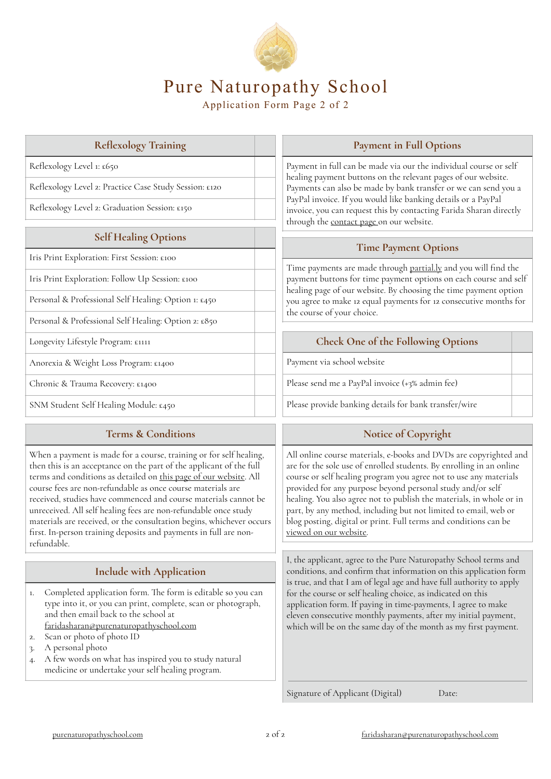

# Pure Naturopathy School

Application Form Page 2 of 2

| $\frac{1}{2}$                                          |  |
|--------------------------------------------------------|--|
| Reflexology Level 1: £650                              |  |
| Reflexology Level 2: Practice Case Study Session: £120 |  |
| Reflexology Level 2: Graduation Session: £150          |  |
| <b>Self Healing Options</b>                            |  |
| Iris Print Exploration: First Session: £100            |  |
| Iris Print Exploration: Follow Up Session: £100        |  |
| Personal & Professional Self Healing: Option 1: £450   |  |
| Personal & Professional Self Healing: Option 2: £850   |  |
| Longevity Lifestyle Program: £1111                     |  |
| Anorexia & Weight Loss Program: £1400                  |  |
| Chronic & Trauma Recovery: £1400                       |  |
|                                                        |  |

**Reflexolog Training**

# SNM Student Self Healing Module: £450

#### **Terms & Conditions**

When a payment is made for a course, training or for self healing, then this is an acceptance on the part of the applicant of the full terms and conditions as detailed on [this page of our website](https://purenaturopathyschool.com/terms-and-conditions). All course fees are non-refundable as once course materials are received, studies have commenced and course materials cannot be unreceived. All self healing fees are non-refundable once study materials are received, or the consultation begins, whichever occurs first. In-person training deposits and payments in full are nonrefundable.

### **Include with Application**

- 1. Completed application form. The form is editable so you can type into it, or you can print, complete, scan or photograph, and then email back to the school at [faridasharan@purenaturopathyschool.com](mailto:faridasharan@purenaturopathyschool.com)
- 2. Scan or photo of photo ID
- 3. A personal photo
- 4. A few words on what has inspired you to study natural medicine or undertake your self healing program.

#### **Payment in Full Options**

 $p$ ment in full can be made via our the individual course or self aling payment buttons on the relevant pages of our website. Payments can also be made by bank transfer or we can send you a <sub>P</sub>Pal invoice. If you would like banking details or a PayPal roice, you can request this by contacting Farida Sharan directly ough the [contact page o](https://purenaturopathyschool.com/contact)n our website.

#### **Time Payment Options**

me payments are made through <u>partial.ly</u> and you will find the payment buttons for time payment options on each course and self aling page of our website. By choosing the time payment option 1 agree to make 12 equal payments for 12 consecutive months for course of your choice.

#### **Check One of the Following Options**

<sub>v</sub>ment via school website

ase send me a PayPal invoice (+3% admin fee):

Please provide banking details for bank transfer/wire

### **Notice of Copyright**

All online course materials, e-books and DVDs are copyrighted and are for the sole use of enrolled students. By enrolling in an online course or self healing program you agree not to use any materials provided for any purpose beyond personal study and/or self healing. You also agree not to publish the materials, in whole or in part, by any method, including but not limited to email, web or blog posting, digital or print. Full terms and conditions can be [viewed on our website](https://purenaturopathyschool.com/terms-and-conditions).

I, the applicant, agree to the Pure Naturopathy School terms and conditions, and confirm that information on this application form is true, and that I am of legal age and have full authority to apply for the course or self healing choice, as indicated on this application form. If paying in time-payments, I agree to make eleven consecutive monthly payments, afer my initial payment, which will be on the same day of the month as my first payment.

Signature of Applicant (Digital) Date: